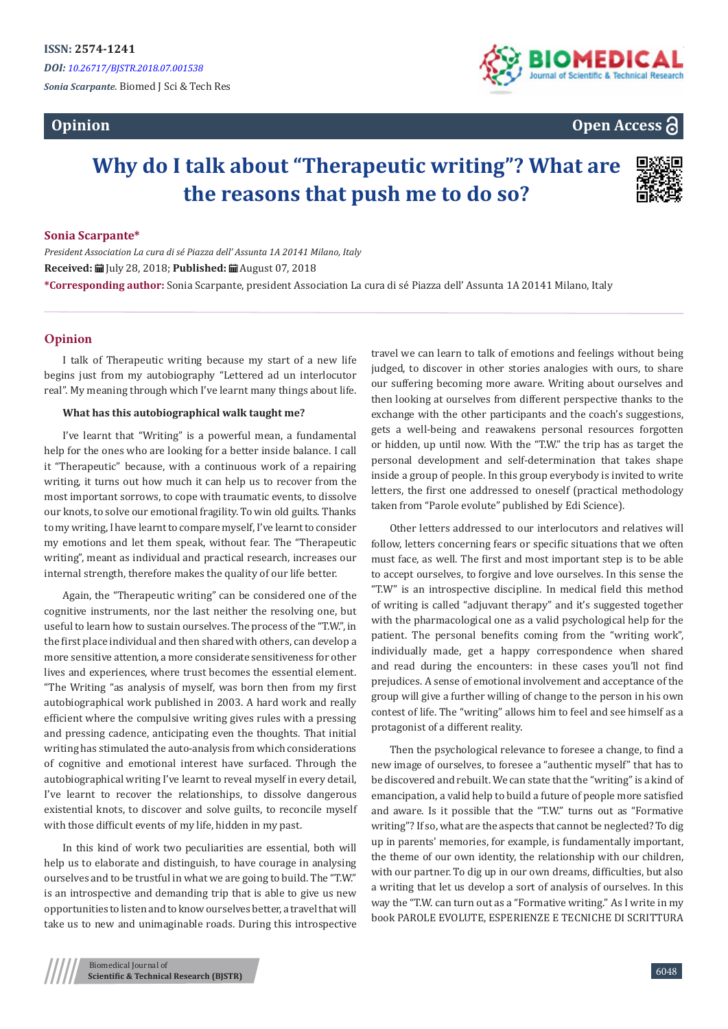# **Opinion**



**Open Access**

# **Why do I talk about "Therapeutic writing"? What are the reasons that push me to do so?**



#### **Sonia Scarpante\***

*President Association La cura di sé Piazza dell' Assunta 1A 20141 Milano, Italy*  **Received:** July 28, 2018; **Published:** August 07, 2018 **\*Corresponding author:** Sonia Scarpante, president Association La cura di sé Piazza dell' Assunta 1A 20141 Milano, Italy

## **Opinion**

I talk of Therapeutic writing because my start of a new life begins just from my autobiography "Lettered ad un interlocutor real". My meaning through which I've learnt many things about life.

#### **What has this autobiographical walk taught me?**

I've learnt that "Writing" is a powerful mean, a fundamental help for the ones who are looking for a better inside balance. I call it "Therapeutic" because, with a continuous work of a repairing writing, it turns out how much it can help us to recover from the most important sorrows, to cope with traumatic events, to dissolve our knots, to solve our emotional fragility. To win old guilts. Thanks to my writing, I have learnt to compare myself, I've learnt to consider my emotions and let them speak, without fear. The "Therapeutic writing", meant as individual and practical research, increases our internal strength, therefore makes the quality of our life better.

Again, the "Therapeutic writing" can be considered one of the cognitive instruments, nor the last neither the resolving one, but useful to learn how to sustain ourselves. The process of the "T.W.", in the first place individual and then shared with others, can develop a more sensitive attention, a more considerate sensitiveness for other lives and experiences, where trust becomes the essential element. "The Writing "as analysis of myself, was born then from my first autobiographical work published in 2003. A hard work and really efficient where the compulsive writing gives rules with a pressing and pressing cadence, anticipating even the thoughts. That initial writing has stimulated the auto-analysis from which considerations of cognitive and emotional interest have surfaced. Through the autobiographical writing I've learnt to reveal myself in every detail, I've learnt to recover the relationships, to dissolve dangerous existential knots, to discover and solve guilts, to reconcile myself with those difficult events of my life, hidden in my past.

In this kind of work two peculiarities are essential, both will help us to elaborate and distinguish, to have courage in analysing ourselves and to be trustful in what we are going to build. The "T.W." is an introspective and demanding trip that is able to give us new opportunities to listen and to know ourselves better, a travel that will take us to new and unimaginable roads. During this introspective

travel we can learn to talk of emotions and feelings without being judged, to discover in other stories analogies with ours, to share our suffering becoming more aware. Writing about ourselves and then looking at ourselves from different perspective thanks to the exchange with the other participants and the coach's suggestions, gets a well-being and reawakens personal resources forgotten or hidden, up until now. With the "T.W." the trip has as target the personal development and self-determination that takes shape inside a group of people. In this group everybody is invited to write letters, the first one addressed to oneself (practical methodology taken from "Parole evolute" published by Edi Science).

Other letters addressed to our interlocutors and relatives will follow, letters concerning fears or specific situations that we often must face, as well. The first and most important step is to be able to accept ourselves, to forgive and love ourselves. In this sense the "T.W" is an introspective discipline. In medical field this method of writing is called "adjuvant therapy" and it's suggested together with the pharmacological one as a valid psychological help for the patient. The personal benefits coming from the "writing work", individually made, get a happy correspondence when shared and read during the encounters: in these cases you'll not find prejudices. A sense of emotional involvement and acceptance of the group will give a further willing of change to the person in his own contest of life. The "writing" allows him to feel and see himself as a protagonist of a different reality.

Then the psychological relevance to foresee a change, to find a new image of ourselves, to foresee a "authentic myself" that has to be discovered and rebuilt. We can state that the "writing" is a kind of emancipation, a valid help to build a future of people more satisfied and aware. Is it possible that the "T.W." turns out as "Formative writing"? If so, what are the aspects that cannot be neglected? To dig up in parents' memories, for example, is fundamentally important, the theme of our own identity, the relationship with our children, with our partner. To dig up in our own dreams, difficulties, but also a writing that let us develop a sort of analysis of ourselves. In this way the "T.W. can turn out as a "Formative writing." As I write in my book PAROLE EVOLUTE, ESPERIENZE E TECNICHE DI SCRITTURA